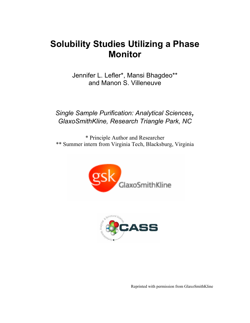# **Solubility Studies Utilizing a Phase Monitor**

Jennifer L. Lefler\*, Mansi Bhagdeo\*\* and Manon S. Villeneuve

*Single Sample Purification: Analytical Sciences, GlaxoSmithKline, Research Triangle Park, NC*

\* Principle Author and Researcher \*\* Summer intern from Virginia Tech, Blacksburg, Virginia





Reprinted with permission from GlaxoSmithKline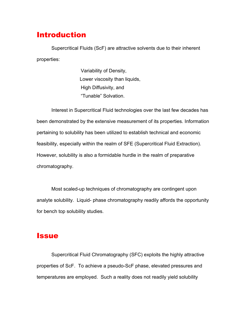#### Introduction

Supercritical Fluids (ScF) are attractive solvents due to their inherent properties:

> Variability of Density, Lower viscosity than liquids, High Diffusivity, and "Tunable" Solvation.

Interest in Supercritical Fluid technologies over the last few decades has been demonstrated by the extensive measurement of its properties. Information pertaining to solubility has been utilized to establish technical and economic feasibility, especially within the realm of SFE (Supercritical Fluid Extraction). However, solubility is also a formidable hurdle in the realm of preparative chromatography.

Most scaled-up techniques of chromatography are contingent upon analyte solubility. Liquid- phase chromatography readily affords the opportunity for bench top solubility studies.

#### **Issue**

Supercritical Fluid Chromatography (SFC) exploits the highly attractive properties of ScF. To achieve a pseudo-ScF phase, elevated pressures and temperatures are employed. Such a reality does not readily yield solubility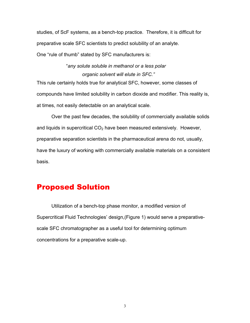studies, of ScF systems, as a bench-top practice. Therefore, it is difficult for preparative scale SFC scientists to predict solubility of an analyte. One "rule of thumb" stated by SFC manufacturers is:

#### "*any solute soluble in methanol or a less polar organic solvent will elute in SFC."*

This rule certainly holds true for analytical SFC, however, some classes of compounds have limited solubility in carbon dioxide and modifier. This reality is, at times, not easily detectable on an analytical scale.

Over the past few decades, the solubility of commercially available solids and liquids in supercritical  $CO<sub>2</sub>$  have been measured extensively. However, preparative separation scientists in the pharmaceutical arena do not, usually, have the luxury of working with commercially available materials on a consistent basis.

### Proposed Solution

Utilization of a bench-top phase monitor, a modified version of Supercritical Fluid Technologies' design,(Figure 1) would serve a preparativescale SFC chromatographer as a useful tool for determining optimum concentrations for a preparative scale-up.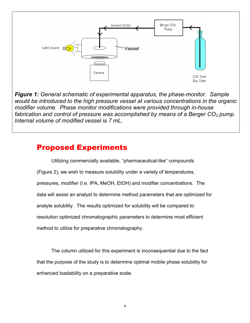

*Figure 1: General schematic of experimental apparatus, the phase-monitor. Sample would be introduced to the high pressure vessel at various concentrations in the organic modifier volume. Phase monitor modifications were provided through in-house fabrication and control of pressure was accomplished by means of a Berger CO<sub>2</sub> pump. Internal volume of modified vessel is 7 mL.*

### Proposed Experiments

Utilizing commercially available, "pharmaceutical-like" compounds (Figure 2), we wish to measure solubility under a variety of temperatures, pressures, modifier (I.e. IPA, MeOH, EtOH) and modifier concentrations. The data will assist an analyst to determine method parameters that are optimized for analyte solubility. The results optimized for solubility will be compared to resolution optimized chromatographic parameters to determine most efficient method to utilize for preparative chromatography.

The column utilized for this experiment is inconsequential due to the fact that the purpose of the study is to determine optimal mobile phase solubility for enhanced loadability on a preparative scale.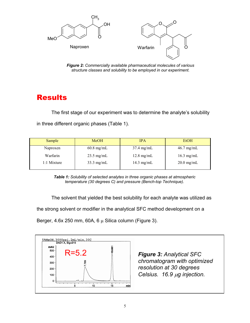

*Figure 2: Commercially available pharmaceutical molecules of various structure classes and solubility to be employed in our experiment.*

# **Results**

The first stage of our experiment was to determine the analyte's solubility in three different organic phases (Table 1).

| Sample      | <b>MeOH</b>          | <b>IPA</b>           | <b>EtOH</b>          |  |
|-------------|----------------------|----------------------|----------------------|--|
| Naproxen    | $60.8$ mg/mL         | $37.4$ mg/mL         | $46.7 \text{ mg/mL}$ |  |
| Warfarin    | $23.5 \text{ mg/mL}$ | $12.8 \text{ mg/mL}$ | $16.3$ mg/mL         |  |
| 1:1 Mixture | $33.3 \text{ mg/mL}$ | $14.3$ mg/mL         | $20.0$ mg/mL         |  |

*Table 1: Solubility of selected analytes in three organic phases at atmospheric temperature (30 degrees C) and pressure (Bench-top Technique).*

The solvent that yielded the best solubility for each analyte was utilized as

the strong solvent or modifier in the analytical SFC method development on a

Berger, 4.6x 250 mm, 60A, 6  $\mu$  Silica column (Figure 3).



*chromatogram with optimized resolution at 30 degrees Celsius. 16.9* µ*g injection.*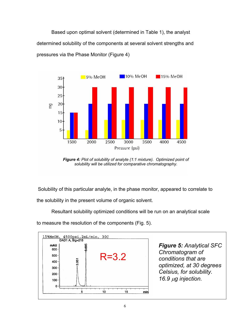Based upon optimal solvent (determined in Table 1), the analyst determined solubility of the components at several solvent strengths and pressures via the Phase Monitor (Figure 4)



*Figure 4: Plot of solubility of analyte (1:1 mixture). Optimized point of solubility will be utilized for comparative chromatography.*

Solubility of this particular analyte, in the phase monitor, appeared to correlate to

the solubility in the present volume of organic solvent.

Resultant solubility optimized conditions will be run on an analytical scale

to measure the resolution of the components (Fig. 5).

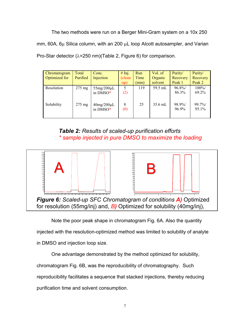The two methods were run on a Berger Mini-Gram system on a 10x 250 mm, 60A, 6µ Silica column, with an 200 µL loop Alcott autosampler, and Varian Pro-Star detector (λ=250 nm)(Table 2, Figure 6) for comparison.

| Chromatogram<br>Optimized for | Total<br>Purified | Conc.<br>Injection            | # Inj.<br>(clean)<br>$-up)$ | <b>Run</b><br>Time<br>min) | Vol. of<br>Organic<br>solvent | Purity/<br>Recovery<br>Peak 1 | Purity/<br>Recovery<br>Peak 2 |
|-------------------------------|-------------------|-------------------------------|-----------------------------|----------------------------|-------------------------------|-------------------------------|-------------------------------|
| Resolution                    | $275 \text{ mg}$  | $55mg/200\mu L$<br>in DMSO*   | 5<br>(2)                    | 119                        | 59.5 mL                       | 96.8%<br>86.3%                | $100\%$<br>69.2%              |
| Solubility                    | $275 \text{ mg}$  | $40$ mg/ $200$ µL<br>in DMSO* | 8<br>(0)                    | 25                         | $35.6$ mL                     | 98.9%<br>96.9%                | 99.7%<br>95.1%                |

*Table 2: Results of scaled-up purification efforts \* sample injected in pure DMSO to maximize the loading*



Note the poor peak shape in chromatogram Fig. 6A. Also the quantity

injected with the resolution-optimized method was limited to solubility of analyte

in DMSO and injection loop size.

One advantage demonstrated by the method optimized for solubility, chromatogram Fig. 6B, was the reproducibility of chromatography. Such reproducibility facilitates a sequence that stacked injections, thereby reducing purification time and solvent consumption.